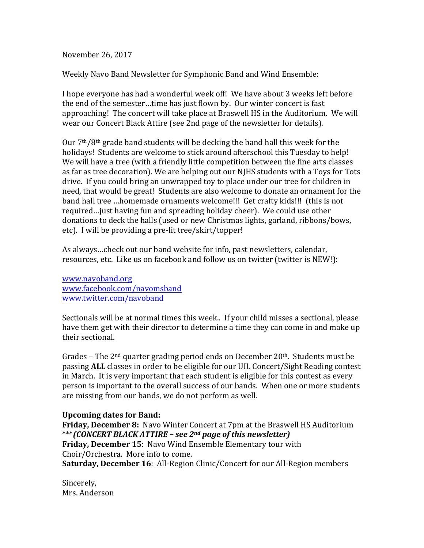November 26, 2017

Weekly Navo Band Newsletter for Symphonic Band and Wind Ensemble:

I hope everyone has had a wonderful week off! We have about 3 weeks left before the end of the semester...time has just flown by. Our winter concert is fast approaching! The concert will take place at Braswell HS in the Auditorium. We will wear our Concert Black Attire (see 2nd page of the newsletter for details).

Our  $7<sup>th</sup>/8<sup>th</sup>$  grade band students will be decking the band hall this week for the holidays! Students are welcome to stick around afterschool this Tuesday to help! We will have a tree (with a friendly little competition between the fine arts classes as far as tree decoration). We are helping out our NJHS students with a Toys for Tots drive. If you could bring an unwrapped toy to place under our tree for children in need, that would be great! Students are also welcome to donate an ornament for the band hall tree ...homemade ornaments welcome!!! Get crafty kids!!! (this is not required... just having fun and spreading holiday cheer). We could use other donations to deck the halls (used or new Christmas lights, garland, ribbons/bows, etc). I will be providing a pre-lit tree/skirt/topper!

As always...check out our band website for info, past newsletters, calendar, resources, etc. Like us on facebook and follow us on twitter (twitter is NEW!):

www.navoband.org www.facebook.com/navomsband www.twitter.com/navoband

Sectionals will be at normal times this week.. If your child misses a sectional, please have them get with their director to determine a time they can come in and make up their sectional.

Grades – The  $2<sup>nd</sup>$  quarter grading period ends on December  $20<sup>th</sup>$ . Students must be passing **ALL** classes in order to be eligible for our UIL Concert/Sight Reading contest in March. It is very important that each student is eligible for this contest as every person is important to the overall success of our bands. When one or more students are missing from our bands, we do not perform as well.

## **Upcoming dates for Band:**

**Friday, December 8:** Navo Winter Concert at 7pm at the Braswell HS Auditorium \*\*\**(CONCERT BLACK ATTIRE – see 2nd page of this newsletter)* **Friday, December 15: Navo Wind Ensemble Elementary tour with** Choir/Orchestra. More info to come. **Saturday, December 16**: All-Region Clinic/Concert for our All-Region members

Sincerely, Mrs. Anderson